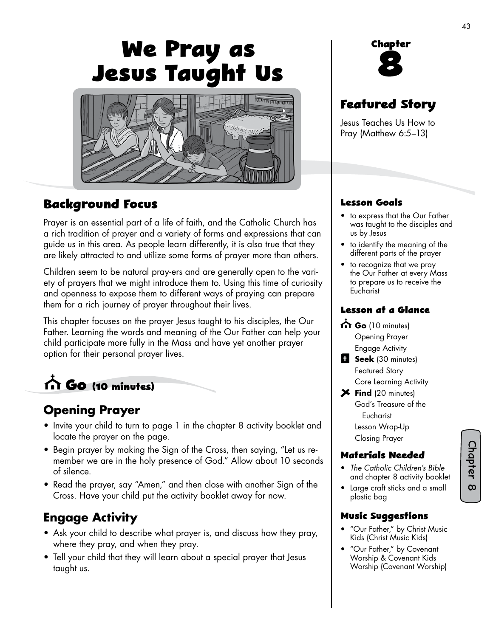# **We Pray as Jesus Taught Us**



#### **Background Focus**

Prayer is an essential part of a life of faith, and the Catholic Church has a rich tradition of prayer and a variety of forms and expressions that can guide us in this area. As people learn differently, it is also true that they are likely attracted to and utilize some forms of prayer more than others.

Children seem to be natural pray-ers and are generally open to the variety of prayers that we might introduce them to. Using this time of curiosity and openness to expose them to different ways of praying can prepare them for a rich journey of prayer throughout their lives.

This chapter focuses on the prayer Jesus taught to his disciples, the Our Father. Learning the words and meaning of the Our Father can help your child participate more fully in the Mass and have yet another prayer option for their personal prayer lives.

 **Go (10 minutes)**

## **Opening Prayer**

- Invite your child to turn to page 1 in the chapter 8 activity booklet and locate the prayer on the page.
- Begin prayer by making the Sign of the Cross, then saying, "Let us remember we are in the holy presence of God." Allow about 10 seconds of silence.
- Read the prayer, say "Amen," and then close with another Sign of the Cross. Have your child put the activity booklet away for now.

# **Engage Activity**

- Ask your child to describe what prayer is, and discuss how they pray, where they pray, and when they pray.
- Tell your child that they will learn about a special prayer that Jesus taught us.



# **Featured Story**

Jesus Teaches Us How to Pray (Matthew 6:5–13)

#### **Lesson Goals**

- to express that the Our Father was taught to the disciples and us by Jesus
- to identify the meaning of the different parts of the prayer
- to recognize that we pray the Our Father at every Mass to prepare us to receive the **Eucharist**

#### **Lesson at a Glance**

- Go (10 minutes) Opening Prayer Engage Activity
- **Seek** (30 minutes) Featured Story Core Learning Activity
- **Find** (20 minutes) God's Treasure of the Eucharist Lesson Wrap-Up Closing Prayer

#### **Materials Needed**

- *The Catholic Children's Bible*  and chapter 8 activity booklet
- Large craft sticks and a small plastic bag

#### **Music Suggestions**

- "Our Father," by Christ Music Kids (Christ Music Kids)
- "Our Father," by Covenant Worship & Covenant Kids Worship (Covenant Worship)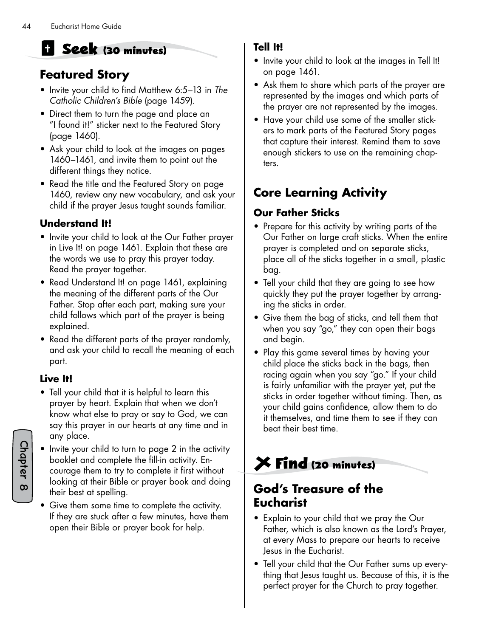# **Seek (30 minutes)**

## **Featured Story**

- Invite your child to find Matthew 6:5–13 in *The Catholic Children's Bible* (page 1459).
- Direct them to turn the page and place an "I found it!" sticker next to the Featured Story (page 1460).
- Ask your child to look at the images on pages 1460–1461, and invite them to point out the different things they notice.
- Read the title and the Featured Story on page 1460, review any new vocabulary, and ask your child if the prayer Jesus taught sounds familiar.

#### **Understand It!**

- Invite your child to look at the Our Father prayer in Live It! on page 1461. Explain that these are the words we use to pray this prayer today. Read the prayer together.
- Read Understand It! on page 1461, explaining the meaning of the different parts of the Our Father. Stop after each part, making sure your child follows which part of the prayer is being explained.
- Read the different parts of the prayer randomly, and ask your child to recall the meaning of each part.

#### **Live It!**

- Tell your child that it is helpful to learn this prayer by heart. Explain that when we don't know what else to pray or say to God, we can say this prayer in our hearts at any time and in any place.
- Invite your child to turn to page 2 in the activity booklet and complete the fill-in activity. Encourage them to try to complete it first without looking at their Bible or prayer book and doing their best at spelling.
	- Give them some time to complete the activity. If they are stuck after a few minutes, have them open their Bible or prayer book for help.

#### **Tell It!**

- Invite your child to look at the images in Tell It! on page 1461.
- Ask them to share which parts of the prayer are represented by the images and which parts of the prayer are not represented by the images.
- Have your child use some of the smaller stickers to mark parts of the Featured Story pages that capture their interest. Remind them to save enough stickers to use on the remaining chapters.

# **Core Learning Activity**

#### **Our Father Sticks**

- Prepare for this activity by writing parts of the Our Father on large craft sticks. When the entire prayer is completed and on separate sticks, place all of the sticks together in a small, plastic bag.
- Tell your child that they are going to see how quickly they put the prayer together by arranging the sticks in order.
- Give them the bag of sticks, and tell them that when you say "go," they can open their bags and begin.
- Play this game several times by having your child place the sticks back in the bags, then racing again when you say "go." If your child is fairly unfamiliar with the prayer yet, put the sticks in order together without timing. Then, as your child gains confidence, allow them to do it themselves, and time them to see if they can beat their best time.

# **Find (20 minutes)**

#### **God's Treasure of the Eucharist**

- Explain to your child that we pray the Our Father, which is also known as the Lord's Prayer, at every Mass to prepare our hearts to receive Jesus in the Eucharist.
- Tell your child that the Our Father sums up everything that Jesus taught us. Because of this, it is the perfect prayer for the Church to pray together.